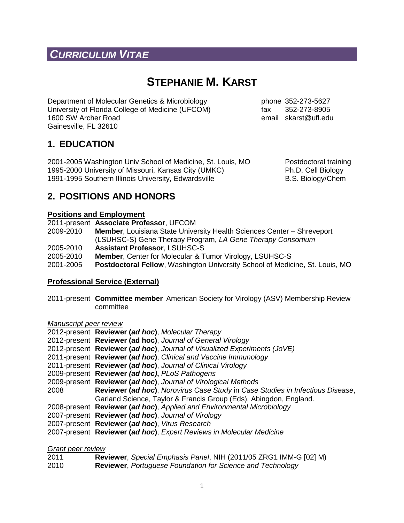# *CURRICULUM VITAE*

# **STEPHANIE M. KARST**

Department of Molecular Genetics & Microbiology phone 352-273-5627 University of Florida College of Medicine (UFCOM) fax 352-273-8905 1600 SW Archer Road email skarst@ufl.edu Gainesville, FL 32610

# **1. EDUCATION**

2001-2005 Washington Univ School of Medicine, St. Louis, MO Postdoctoral training 1995-2000 University of Missouri, Kansas City (UMKC) Ph.D. Cell Biology 1991-1995 Southern Illinois University, Edwardsville **B.S. Biology/Chem** 

# **2. POSITIONS AND HONORS**

## **Positions and Employment**

2011-present **Associate Professor**, UFCOM 2009-2010 **Member**, Louisiana State University Health Sciences Center – Shreveport (LSUHSC-S) Gene Therapy Program, *LA Gene Therapy Consortium*  2005-2010 **Assistant Professor**, LSUHSC-S 2005-2010 **Member**, Center for Molecular & Tumor Virology, LSUHSC-S 2001-2005 **Postdoctoral Fellow**, Washington University School of Medicine, St. Louis, MO

# **Professional Service (External)**

2011-present **Committee member** American Society for Virology (ASV) Membership Review committee

#### *Manuscript peer review*

2012-present **Reviewer (***ad hoc***)**, *Molecular Therapy* 2012-present **Reviewer (ad hoc)**, *Journal of General Virology* 2012-present **Reviewer (***ad hoc***)**, *Journal of Visualized Experiments (JoVE)* 2011-present **Reviewer (***ad hoc***)**, *Clinical and Vaccine Immunology* 2011-present **Reviewer (***ad hoc***)**, *Journal of Clinical Virology* 2009-present **Reviewer** *(ad hoc)***,** *PLoS Pathogens*  2009-present **Reviewer (***ad hoc***)**, *Journal of Virological Methods*  2008 **Reviewer (***ad hoc***)**, *Norovirus Case Study* in *Case Studies in Infectious Disease*, Garland Science, Taylor & Francis Group (Eds), Abingdon, England. 2008-present **Reviewer (***ad hoc***)**, *Applied and Environmental Microbiology*  2007-present **Reviewer (***ad hoc***)**, *Journal of Virology*  2007-present **Reviewer (***ad hoc***)**, *Virus Research*  2007-present **Reviewer (***ad hoc***)**, *Expert Reviews in Molecular Medicine* 

## *Grant peer review*

| 2011 | Reviewer, Special Emphasis Panel, NIH (2011/05 ZRG1 IMM-G [02] M) |
|------|-------------------------------------------------------------------|
| 2010 | <b>Reviewer, Portuguese Foundation for Science and Technology</b> |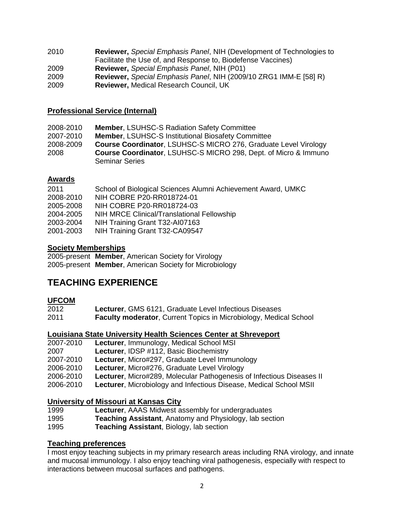| 2010 | <b>Reviewer, Special Emphasis Panel, NIH (Development of Technologies to</b> |
|------|------------------------------------------------------------------------------|
|      | Facilitate the Use of, and Response to, Biodefense Vaccines)                 |
| 2009 | Reviewer, Special Emphasis Panel, NIH (P01)                                  |
| 2009 | Reviewer, Special Emphasis Panel, NIH (2009/10 ZRG1 IMM-E [58] R)            |
| 2009 | <b>Reviewer, Medical Research Council, UK</b>                                |

## **Professional Service (Internal)**

| 2008-2010 | <b>Member, LSUHSC-S Radiation Safety Committee</b>                         |
|-----------|----------------------------------------------------------------------------|
| 2007-2010 | <b>Member, LSUHSC-S Institutional Biosafety Committee</b>                  |
| 2008-2009 | Course Coordinator, LSUHSC-S MICRO 276, Graduate Level Virology            |
| 2008      | <b>Course Coordinator, LSUHSC-S MICRO 298, Dept. of Micro &amp; Immuno</b> |
|           | <b>Seminar Series</b>                                                      |

### **Awards**

| 2011      | School of Biological Sciences Alumni Achievement Award, UMKC |
|-----------|--------------------------------------------------------------|
| 2008-2010 | NIH COBRE P20-RR018724-01                                    |
| 2005-2008 | NIH COBRE P20-RR018724-03                                    |
| 2004-2005 | NIH MRCE Clinical/Translational Fellowship                   |
| 2003-2004 | NIH Training Grant T32-AI07163                               |
| 2001-2003 | NIH Training Grant T32-CA09547                               |

### **Society Memberships**

2005-present **Member**, American Society for Virology 2005-present **Member**, American Society for Microbiology

# **TEACHING EXPERIENCE**

#### **UFCOM**

| 2012 | <b>Lecturer, GMS 6121, Graduate Level Infectious Diseases</b>            |
|------|--------------------------------------------------------------------------|
| 2011 | <b>Faculty moderator, Current Topics in Microbiology, Medical School</b> |

# **Louisiana State University Health Sciences Center at Shreveport**

| 2007-2010 | Lecturer, Immunology, Medical School MSI                              |
|-----------|-----------------------------------------------------------------------|
| 2007      | Lecturer, IDSP #112, Basic Biochemistry                               |
| 2007-2010 | Lecturer, Micro#297, Graduate Level Immunology                        |
| 2006-2010 | Lecturer, Micro#276, Graduate Level Virology                          |
| 2006-2010 | Lecturer, Micro#289, Molecular Pathogenesis of Infectious Diseases II |
| 2006-2010 | Lecturer, Microbiology and Infectious Disease, Medical School MSII    |

#### **University of Missouri at Kansas City**

- 1995 **Teaching Assistant**, Anatomy and Physiology, lab section
- 1995 **Teaching Assistant**, Biology, lab section

# **Teaching preferences**

I most enjoy teaching subjects in my primary research areas including RNA virology, and innate and mucosal immunology. I also enjoy teaching viral pathogenesis, especially with respect to interactions between mucosal surfaces and pathogens.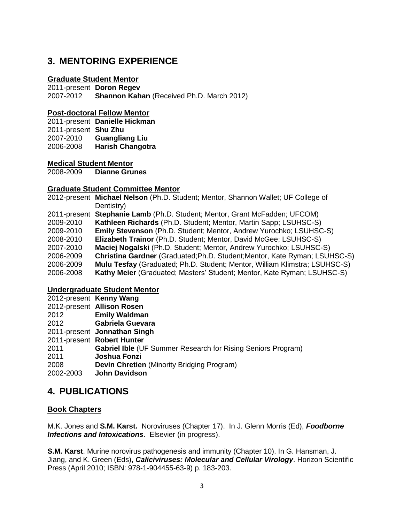# **3. MENTORING EXPERIENCE**

# **Graduate Student Mentor**

2011-present **Doron Regev** 2007-2012 **Shannon Kahan** (Received Ph.D. March 2012)

### **Post-doctoral Fellow Mentor**

2011-present **Danielle Hickman** 2011-present **Shu Zhu** 2007-2010 **Guangliang Liu** 2006-2008 **Harish Changotra**

### **Medical Student Mentor**

2008-2009 **Dianne Grunes** 

# **Graduate Student Committee Mentor**

2012-present **Michael Nelson** (Ph.D. Student; Mentor, Shannon Wallet; UF College of Dentistry)

|           | 2011-present Stephanie Lamb (Ph.D. Student; Mentor, Grant McFadden; UFCOM)     |
|-----------|--------------------------------------------------------------------------------|
| 2009-2010 | Kathleen Richards (Ph.D. Student; Mentor, Martin Sapp; LSUHSC-S)               |
| 2009-2010 | <b>Emily Stevenson</b> (Ph.D. Student; Mentor, Andrew Yurochko; LSUHSC-S)      |
| 2008-2010 | <b>Elizabeth Trainor</b> (Ph.D. Student; Mentor, David McGee; LSUHSC-S)        |
| 2007-2010 | Maciej Nogalski (Ph.D. Student; Mentor, Andrew Yurochko; LSUHSC-S)             |
| 2006-2009 | Christina Gardner (Graduated; Ph.D. Student; Mentor, Kate Ryman; LSUHSC-S)     |
| 2006-2009 | Mulu Tesfay (Graduated; Ph.D. Student; Mentor, William Klimstra; LSUHSC-S)     |
| 2006-2008 | <b>Kathy Meier</b> (Graduated; Masters' Student; Mentor, Kate Ryman; LSUHSC-S) |
|           |                                                                                |

## **Undergraduate Student Mentor**

|           | 2012-present Kenny Wang                                             |
|-----------|---------------------------------------------------------------------|
|           | 2012-present Allison Rosen                                          |
| 2012      | <b>Emily Waldman</b>                                                |
| 2012      | <b>Gabriela Guevara</b>                                             |
|           | 2011-present Jonnathan Singh                                        |
|           | 2011-present Robert Hunter                                          |
| 2011      | <b>Gabriel Ible (UF Summer Research for Rising Seniors Program)</b> |
| 2011      | Joshua Fonzi                                                        |
| 2008      | <b>Devin Chretien</b> (Minority Bridging Program)                   |
| 2002-2003 | <b>John Davidson</b>                                                |
|           |                                                                     |

# **4. PUBLICATIONS**

## **Book Chapters**

M.K. Jones and **S.M. Karst.** Noroviruses (Chapter 17). In J. Glenn Morris (Ed), *Foodborne Infections and Intoxications*. Elsevier (in progress).

**S.M. Karst**. Murine norovirus pathogenesis and immunity (Chapter 10). In G. Hansman, J. Jiang, and K. Green (Eds), *Caliciviruses: Molecular and Cellular Virology*. Horizon Scientific Press (April 2010; ISBN: 978-1-904455-63-9) p. 183-203.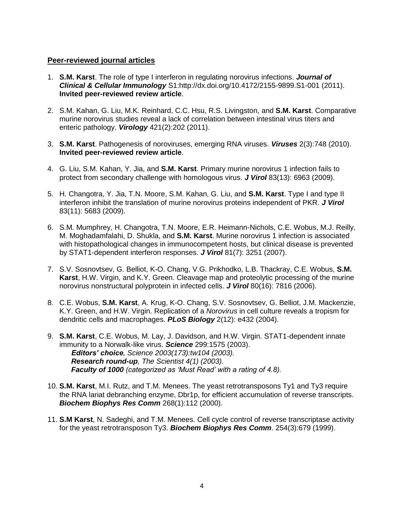### **Peer-reviewed journal articles**

- 1. **S.M. Karst**. The role of type I interferon in regulating norovirus infections. *Journal of Clinical & Cellular Immunology* S1:http://dx.doi.org/10.4172/2155-9899.S1-001 (2011). **Invited peer-reviewed review article**.
- 2. S.M. Kahan, G. Liu, M.K. Reinhard, C.C. Hsu, R.S. Livingston, and **S.M. Karst**. Comparative murine norovirus studies reveal a lack of correlation between intestinal virus titers and enteric pathology. *Virology* 421(2):202 (2011).
- 3. **S.M. Karst**. Pathogenesis of noroviruses, emerging RNA viruses. *Viruses* 2(3):748 (2010). **Invited peer-reviewed review article**.
- 4. G. Liu, S.M. Kahan, Y. Jia, and **S.M. Karst**. Primary murine norovirus 1 infection fails to protect from secondary challenge with homologous virus. *J Virol* 83(13): 6963 (2009).
- 5. H. Changotra, Y. Jia, T.N. Moore, S.M. Kahan, G. Liu, and **S.M. Karst**. Type I and type II interferon inhibit the translation of murine norovirus proteins independent of PKR. *J Virol*  83(11): 5683 (2009).
- 6. S.M. Mumphrey, H. Changotra, T.N. Moore, E.R. Heimann-Nichols, C.E. Wobus, M.J. Reilly, M. Moghadamfalahi, D. Shukla, and **S.M. Karst**. Murine norovirus 1 infection is associated with histopathological changes in immunocompetent hosts, but clinical disease is prevented by STAT1-dependent interferon responses. *J Virol* 81(7): 3251 (2007).
- 7. S.V. Sosnovtsev, G. Belliot, K-O. Chang, V.G. Prikhodko, L.B. Thackray, C.E. Wobus, **S.M. Karst**, H.W. Virgin, and K.Y. Green. Cleavage map and proteolytic processing of the murine norovirus nonstructural polyprotein in infected cells. *J Virol* 80(16): 7816 (2006).
- 8. C.E. Wobus, **S.M. Karst**, A. Krug, K-O. Chang, S.V. Sosnovtsev, G. Belliot, J.M. Mackenzie, K.Y. Green, and H.W. Virgin. Replication of a *Norovirus* in cell culture reveals a tropism for dendritic cells and macrophages. *PLoS Biology* 2(12): e432 (2004).
- 9. **S.M. Karst**, C.E. Wobus, M. Lay, J. Davidson, and H.W. Virgin. STAT1-dependent innate immunity to a Norwalk-like virus. *Science* 299:1575 (2003). *Editors' choice, Science 2003(173):tw104 (2003). Research round-up, The Scientist 4(1) (2003). Faculty of 1000 (categorized as 'Must Read' with a rating of 4.8).*
- 10. **S.M. Karst**, M.I. Rutz, and T.M. Menees. The yeast retrotransposons Ty1 and Ty3 require the RNA lariat debranching enzyme, Dbr1p, for efficient accumulation of reverse transcripts. *Biochem Biophys Res Comm* 268(1):112 (2000).
- 11. **S.M Karst**, N. Sadeghi, and T.M. Menees. Cell cycle control of reverse transcriptase activity for the yeast retrotransposon Ty3. *Biochem Biophys Res Comm*. 254(3):679 (1999).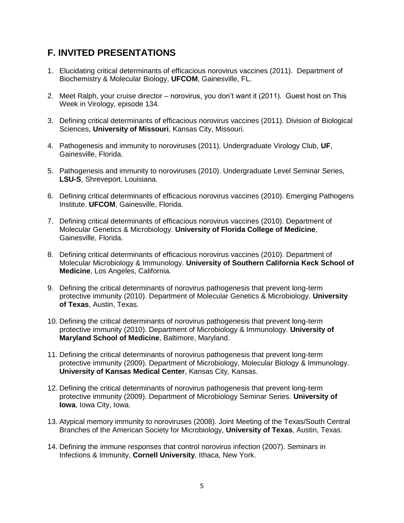# **F. INVITED PRESENTATIONS**

- 1. Elucidating critical determinants of efficacious norovirus vaccines (2011). Department of Biochemistry & Molecular Biology, **UFCOM**, Gainesville, FL.
- 2. Meet Ralph, your cruise director norovirus, you don't want it (2011). Guest host on This Week in Virology, episode 134.
- 3. Defining critical determinants of efficacious norovirus vaccines (2011). Division of Biological Sciences, **University of Missouri**, Kansas City, Missouri.
- 4. Pathogenesis and immunity to noroviruses (2011). Undergraduate Virology Club, **UF**, Gainesville, Florida.
- 5. Pathogenesis and immunity to noroviruses (2010). Undergraduate Level Seminar Series, **LSU-S**, Shreveport, Louisiana.
- 6. Defining critical determinants of efficacious norovirus vaccines (2010). Emerging Pathogens Institute. **UFCOM**, Gainesville, Florida.
- 7. Defining critical determinants of efficacious norovirus vaccines (2010). Department of Molecular Genetics & Microbiology. **University of Florida College of Medicine**, Gainesville, Florida.
- 8. Defining critical determinants of efficacious norovirus vaccines (2010). Department of Molecular Microbiology & Immunology. **University of Southern California Keck School of Medicine**, Los Angeles, California.
- 9. Defining the critical determinants of norovirus pathogenesis that prevent long-term protective immunity (2010). Department of Molecular Genetics & Microbiology. **University of Texas**, Austin, Texas.
- 10. Defining the critical determinants of norovirus pathogenesis that prevent long-term protective immunity (2010). Department of Microbiology & Immunology. **University of Maryland School of Medicine**, Baltimore, Maryland.
- 11. Defining the critical determinants of norovirus pathogenesis that prevent long-term protective immunity (2009). Department of Microbiology, Molecular Biology & Immunology. **University of Kansas Medical Center**, Kansas City, Kansas.
- 12. Defining the critical determinants of norovirus pathogenesis that prevent long-term protective immunity (2009). Department of Microbiology Seminar Series. **University of Iowa**, Iowa City, Iowa.
- 13. Atypical memory immunity to noroviruses (2008). Joint Meeting of the Texas/South Central Branches of the American Society for Microbiology, **University of Texas**, Austin, Texas.
- 14. Defining the immune responses that control norovirus infection (2007). Seminars in Infections & Immunity, **Cornell University**, Ithaca, New York.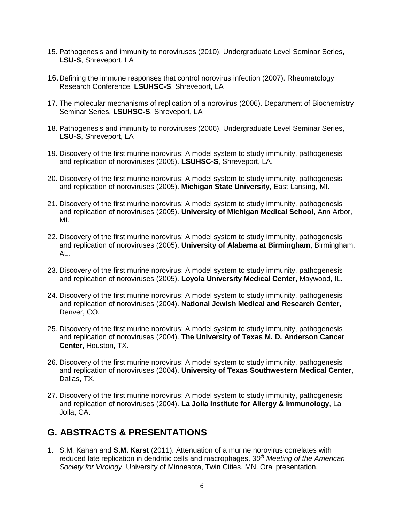- 15. Pathogenesis and immunity to noroviruses (2010). Undergraduate Level Seminar Series, **LSU-S**, Shreveport, LA
- 16.Defining the immune responses that control norovirus infection (2007). Rheumatology Research Conference, **LSUHSC-S**, Shreveport, LA
- 17. The molecular mechanisms of replication of a norovirus (2006). Department of Biochemistry Seminar Series, **LSUHSC-S**, Shreveport, LA
- 18. Pathogenesis and immunity to noroviruses (2006). Undergraduate Level Seminar Series, **LSU-S**, Shreveport, LA
- 19. Discovery of the first murine norovirus: A model system to study immunity, pathogenesis and replication of noroviruses (2005). **LSUHSC-S**, Shreveport, LA.
- 20. Discovery of the first murine norovirus: A model system to study immunity, pathogenesis and replication of noroviruses (2005). **Michigan State University**, East Lansing, MI.
- 21. Discovery of the first murine norovirus: A model system to study immunity, pathogenesis and replication of noroviruses (2005). **University of Michigan Medical School**, Ann Arbor, MI.
- 22. Discovery of the first murine norovirus: A model system to study immunity, pathogenesis and replication of noroviruses (2005). **University of Alabama at Birmingham**, Birmingham, AL.
- 23. Discovery of the first murine norovirus: A model system to study immunity, pathogenesis and replication of noroviruses (2005). **Loyola University Medical Center**, Maywood, IL.
- 24. Discovery of the first murine norovirus: A model system to study immunity, pathogenesis and replication of noroviruses (2004). **National Jewish Medical and Research Center**, Denver, CO.
- 25. Discovery of the first murine norovirus: A model system to study immunity, pathogenesis and replication of noroviruses (2004). **The University of Texas M. D. Anderson Cancer Center**, Houston, TX.
- 26. Discovery of the first murine norovirus: A model system to study immunity, pathogenesis and replication of noroviruses (2004). **University of Texas Southwestern Medical Center**, Dallas, TX.
- 27. Discovery of the first murine norovirus: A model system to study immunity, pathogenesis and replication of noroviruses (2004). **La Jolla Institute for Allergy & Immunology**, La Jolla, CA.

# **G. ABSTRACTS & PRESENTATIONS**

1. S.M. Kahan and **S.M. Karst** (2011). Attenuation of a murine norovirus correlates with reduced late replication in dendritic cells and macrophages. *30th Meeting of the American Society for Virology*, University of Minnesota, Twin Cities, MN. Oral presentation.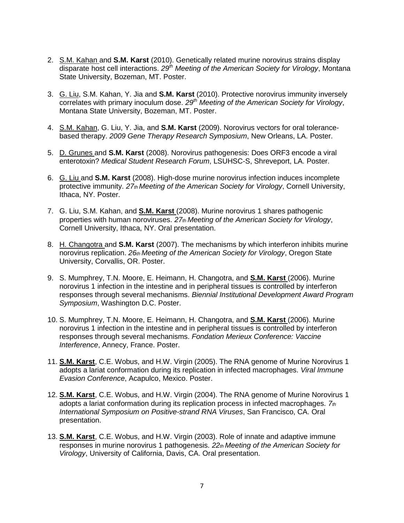- 2. S.M. Kahan and **S.M. Karst** (2010). Genetically related murine norovirus strains display disparate host cell interactions. *29th Meeting of the American Society for Virology*, Montana State University, Bozeman, MT. Poster.
- 3. G. Liu, S.M. Kahan, Y. Jia and **S.M. Karst** (2010). Protective norovirus immunity inversely correlates with primary inoculum dose. *29th Meeting of the American Society for Virology*, Montana State University, Bozeman, MT. Poster.
- 4. S.M. Kahan, G. Liu, Y. Jia, and **S.M. Karst** (2009). Norovirus vectors for oral tolerancebased therapy. *2009 Gene Therapy Research Symposium*, New Orleans, LA. Poster.
- 5. D. Grunes and **S.M. Karst** (2008). Norovirus pathogenesis: Does ORF3 encode a viral enterotoxin? *Medical Student Research Forum*, LSUHSC-S, Shreveport, LA. Poster.
- 6. G. Liu and **S.M. Karst** (2008). High-dose murine norovirus infection induces incomplete protective immunity. *27th Meeting of the American Society for Virology*, Cornell University, Ithaca, NY. Poster.
- 7. G. Liu, S.M. Kahan, and **S.M. Karst** (2008). Murine norovirus 1 shares pathogenic properties with human noroviruses. *27th Meeting of the American Society for Virology*, Cornell University, Ithaca, NY. Oral presentation.
- 8. H. Changotra and **S.M. Karst** (2007). The mechanisms by which interferon inhibits murine norovirus replication. *26th Meeting of the American Society for Virology*, Oregon State University, Corvallis, OR. Poster.
- 9. S. Mumphrey, T.N. Moore, E. Heimann, H. Changotra, and **S.M. Karst** (2006). Murine norovirus 1 infection in the intestine and in peripheral tissues is controlled by interferon responses through several mechanisms. *Biennial Institutional Development Award Program Symposium*, Washington D.C. Poster.
- 10. S. Mumphrey, T.N. Moore, E. Heimann, H. Changotra, and **S.M. Karst** (2006). Murine norovirus 1 infection in the intestine and in peripheral tissues is controlled by interferon responses through several mechanisms. *Fondation Merieux Conference: Vaccine Interference*, Annecy, France. Poster.
- 11. **S.M. Karst**, C.E. Wobus, and H.W. Virgin (2005). The RNA genome of Murine Norovirus 1 adopts a lariat conformation during its replication in infected macrophages. *Viral Immune Evasion Conference*, Acapulco, Mexico. Poster.
- 12. **S.M. Karst**, C.E. Wobus, and H.W. Virgin (2004). The RNA genome of Murine Norovirus 1 adopts a lariat conformation during its replication process in infected macrophages. *7th International Symposium on Positive-strand RNA Viruses*, San Francisco, CA. Oral presentation.
- 13. **S.M. Karst**, C.E. Wobus, and H.W. Virgin (2003). Role of innate and adaptive immune responses in murine norovirus 1 pathogenesis. *22th Meeting of the American Society for Virology*, University of California, Davis, CA. Oral presentation.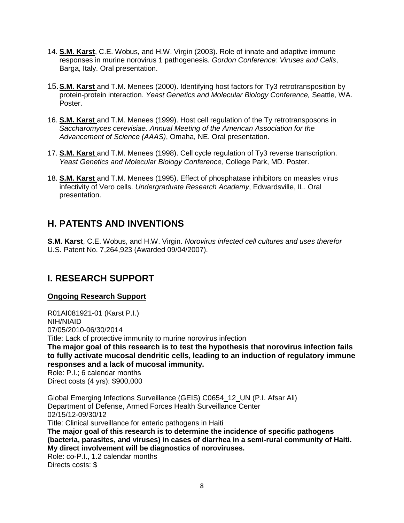- 14. **S.M. Karst**, C.E. Wobus, and H.W. Virgin (2003). Role of innate and adaptive immune responses in murine norovirus 1 pathogenesis. *Gordon Conference: Viruses and Cells*, Barga, Italy. Oral presentation.
- 15.**S.M. Karst** and T.M. Menees (2000). Identifying host factors for Ty3 retrotransposition by protein-protein interaction. *Yeast Genetics and Molecular Biology Conference,* Seattle, WA. Poster.
- 16. **S.M. Karst** and T.M. Menees (1999). Host cell regulation of the Ty retrotransposons in *Saccharomyces cerevisiae*. *Annual Meeting of the American Association for the Advancement of Science (AAAS)*, Omaha, NE. Oral presentation.
- 17. **S.M. Karst** and T.M. Menees (1998). Cell cycle regulation of Ty3 reverse transcription. *Yeast Genetics and Molecular Biology Conference,* College Park, MD. Poster.
- 18. **S.M. Karst** and T.M. Menees (1995). Effect of phosphatase inhibitors on measles virus infectivity of Vero cells. *Undergraduate Research Academy*, Edwardsville, IL. Oral presentation.

# **H. PATENTS AND INVENTIONS**

**S.M. Karst**, C.E. Wobus, and H.W. Virgin. *Norovirus infected cell cultures and uses therefor*  U.S. Patent No. 7,264,923 (Awarded 09/04/2007).

# **I. RESEARCH SUPPORT**

# **Ongoing Research Support**

R01AI081921-01 (Karst P.I.) NIH/NIAID 07/05/2010-06/30/2014 Title: Lack of protective immunity to murine norovirus infection **The major goal of this research is to test the hypothesis that norovirus infection fails to fully activate mucosal dendritic cells, leading to an induction of regulatory immune responses and a lack of mucosal immunity.**  Role: P.I.; 6 calendar months Direct costs (4 yrs): \$900,000 Global Emerging Infections Surveillance (GEIS) C0654\_12\_UN (P.I. Afsar Ali) Department of Defense, Armed Forces Health Surveillance Center 02/15/12-09/30/12 Title: Clinical surveillance for enteric pathogens in Haiti

**The major goal of this research is to determine the incidence of specific pathogens (bacteria, parasites, and viruses) in cases of diarrhea in a semi-rural community of Haiti. My direct involvement will be diagnostics of noroviruses.**

Role: co-P.I., 1.2 calendar months Directs costs: \$